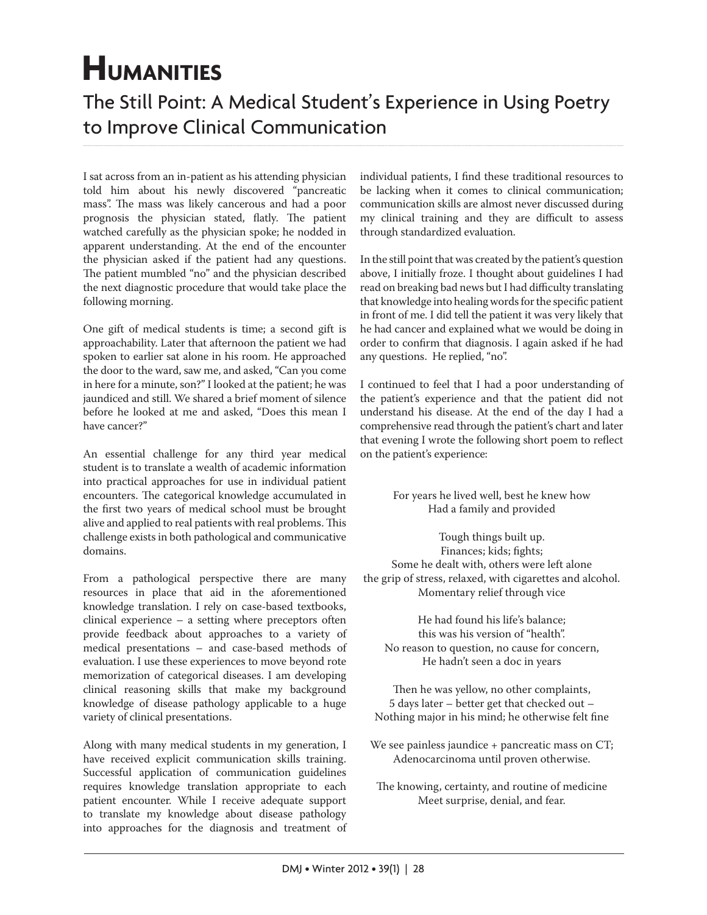## **HUMANITIES**

## The Still Point: A Medical Student's Experience in Using Poetry to Improve Clinical Communication

I sat across from an in-patient as his attending physician told him about his newly discovered "pancreatic mass". The mass was likely cancerous and had a poor prognosis the physician stated, flatly. The patient watched carefully as the physician spoke; he nodded in apparent understanding. At the end of the encounter the physician asked if the patient had any questions. The patient mumbled "no" and the physician described the next diagnostic procedure that would take place the following morning.

One gift of medical students is time; a second gift is approachability. Later that afternoon the patient we had spoken to earlier sat alone in his room. He approached the door to the ward, saw me, and asked, "Can you come in here for a minute, son?" I looked at the patient; he was jaundiced and still. We shared a brief moment of silence before he looked at me and asked, "Does this mean I have cancer?"

An essential challenge for any third year medical student is to translate a wealth of academic information into practical approaches for use in individual patient encounters. The categorical knowledge accumulated in the first two years of medical school must be brought alive and applied to real patients with real problems. This challenge exists in both pathological and communicative domains.

From a pathological perspective there are many resources in place that aid in the aforementioned knowledge translation. I rely on case-based textbooks, clinical experience – a setting where preceptors often provide feedback about approaches to a variety of medical presentations – and case-based methods of evaluation. I use these experiences to move beyond rote memorization of categorical diseases. I am developing clinical reasoning skills that make my background knowledge of disease pathology applicable to a huge variety of clinical presentations.

Along with many medical students in my generation, I have received explicit communication skills training. Successful application of communication guidelines requires knowledge translation appropriate to each patient encounter. While I receive adequate support to translate my knowledge about disease pathology into approaches for the diagnosis and treatment of individual patients, I find these traditional resources to be lacking when it comes to clinical communication; communication skills are almost never discussed during my clinical training and they are difficult to assess through standardized evaluation.

In the still point that was created by the patient's question above, I initially froze. I thought about guidelines I had read on breaking bad news but I had difficulty translating that knowledge into healing words for the specific patient in front of me. I did tell the patient it was very likely that he had cancer and explained what we would be doing in order to confirm that diagnosis. I again asked if he had any questions. He replied, "no".

I continued to feel that I had a poor understanding of the patient's experience and that the patient did not understand his disease. At the end of the day I had a comprehensive read through the patient's chart and later that evening I wrote the following short poem to reflect on the patient's experience:

> For years he lived well, best he knew how Had a family and provided

Tough things built up. Finances; kids; fights; Some he dealt with, others were left alone the grip of stress, relaxed, with cigarettes and alcohol. Momentary relief through vice

He had found his life's balance; this was his version of "health". No reason to question, no cause for concern, He hadn't seen a doc in years

Then he was yellow, no other complaints, 5 days later – better get that checked out – Nothing major in his mind; he otherwise felt fine

We see painless jaundice + pancreatic mass on CT; Adenocarcinoma until proven otherwise.

The knowing, certainty, and routine of medicine Meet surprise, denial, and fear.